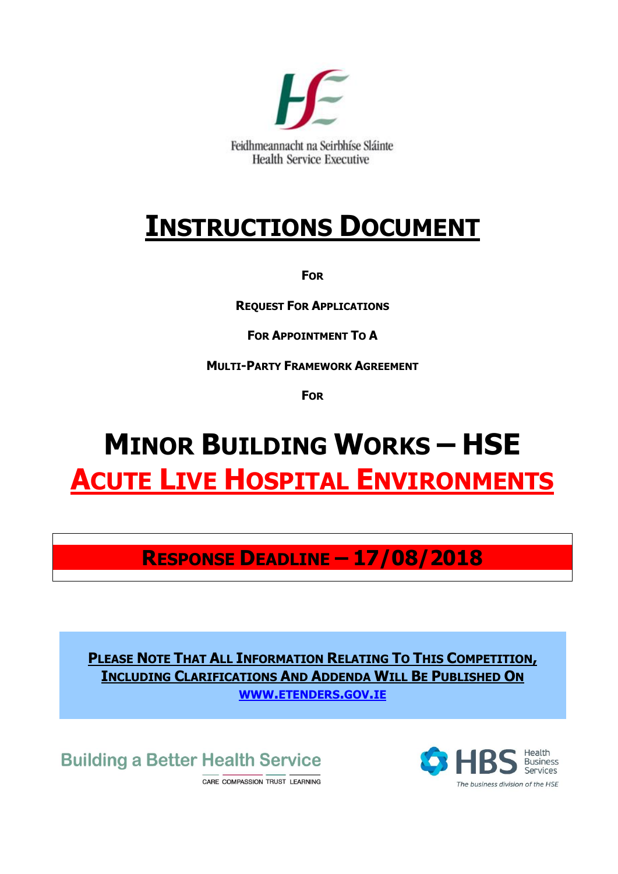

# **INSTRUCTIONS DOCUMENT**

**FOR**

**REQUEST FOR APPLICATIONS**

**FOR APPOINTMENT TO A**

**MULTI-PARTY FRAMEWORK AGREEMENT**

**FOR**

# **MINOR BUILDING WORKS – HSE ACUTE LIVE HOSPITAL ENVIRONMENTS**

**RESPONSE DEADLINE – 17/08/2018**

**PLEASE NOTE THAT ALL INFORMATION RELATING TO THIS COMPETITION, INCLUDING CLARIFICATIONS AND ADDENDA WILL BE PUBLISHED ON WWW.[ETENDERS](http://www.etenders.gov.ie/).GOV.IE**

**Building a Better Health Service** 

Health **Business** Services The business division of the HSE

CARE COMPASSION TRUST LEARNING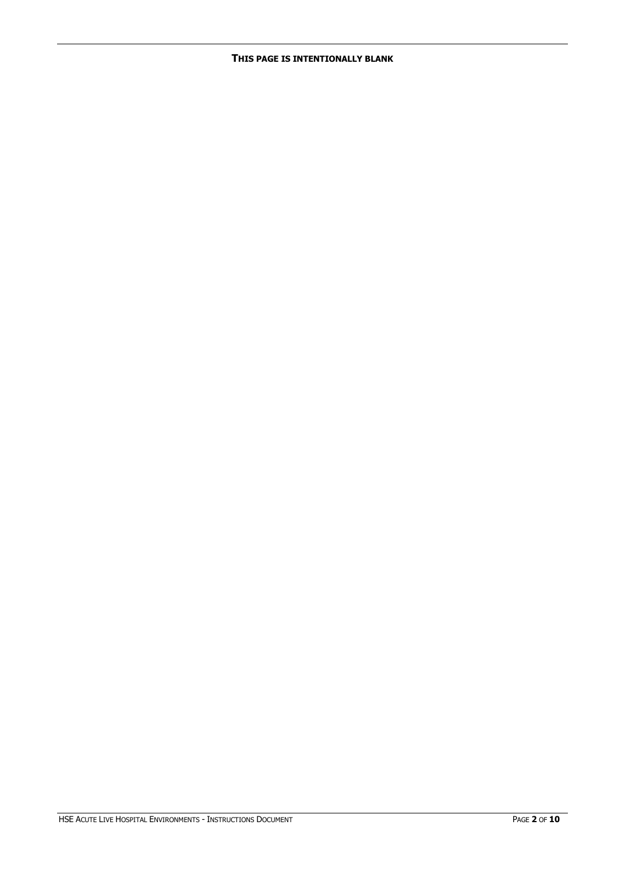### **THIS PAGE IS INTENTIONALLY BLANK**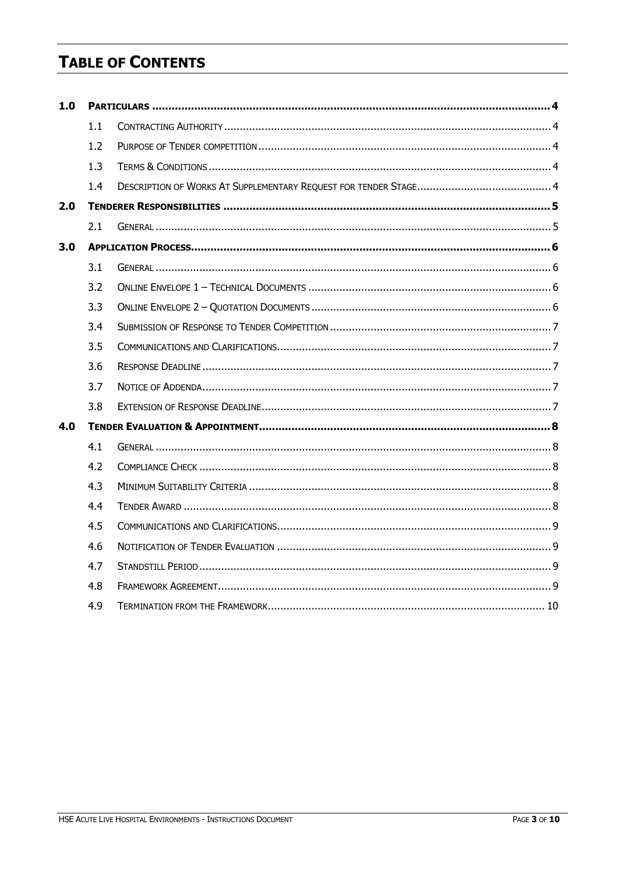# **TABLE OF CONTENTS**

| 1.0 |     |  |  |  |  |
|-----|-----|--|--|--|--|
|     | 1.1 |  |  |  |  |
|     | 1.2 |  |  |  |  |
|     | 1.3 |  |  |  |  |
|     | 1.4 |  |  |  |  |
| 2.0 |     |  |  |  |  |
|     | 2.1 |  |  |  |  |
| 3.0 |     |  |  |  |  |
|     | 3.1 |  |  |  |  |
|     | 3.2 |  |  |  |  |
|     | 3.3 |  |  |  |  |
|     | 3.4 |  |  |  |  |
|     | 3.5 |  |  |  |  |
|     | 3.6 |  |  |  |  |
|     | 3.7 |  |  |  |  |
|     | 3.8 |  |  |  |  |
| 4.0 |     |  |  |  |  |
|     | 4.1 |  |  |  |  |
|     | 4.2 |  |  |  |  |
|     | 4.3 |  |  |  |  |
|     | 4.4 |  |  |  |  |
|     | 4.5 |  |  |  |  |
|     | 4.6 |  |  |  |  |
|     | 4.7 |  |  |  |  |
|     | 4.8 |  |  |  |  |
|     | 4.9 |  |  |  |  |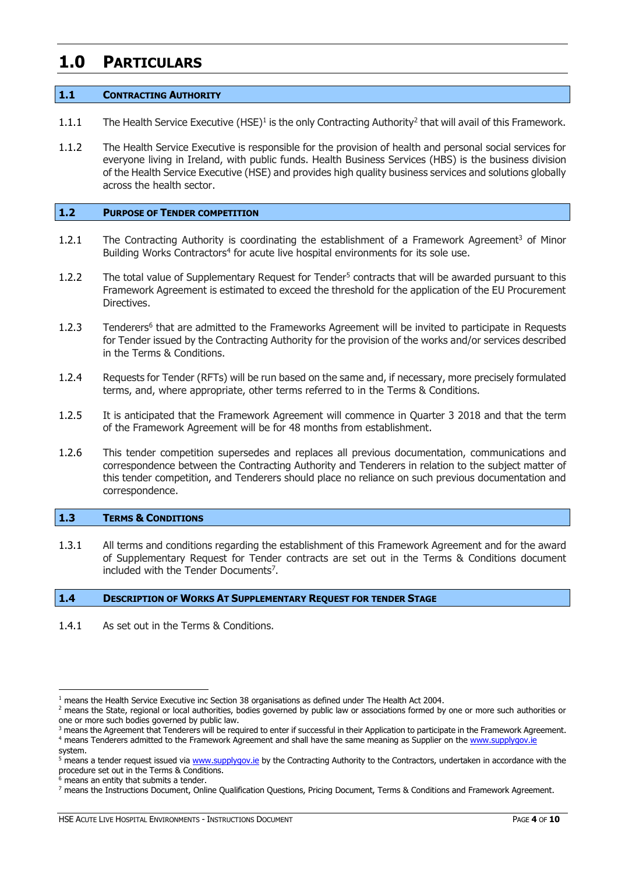# <span id="page-3-0"></span>**1.0 PARTICULARS**

## <span id="page-3-1"></span>**1.1 CONTRACTING AUTHORITY**

- 1.1.1 The Health Service Executive (HSE)<sup>1</sup> is the only Contracting Authority<sup>2</sup> that will avail of this Framework.
- 1.1.2 The Health Service Executive is responsible for the provision of health and personal social services for everyone living in Ireland, with public funds. Health Business Services (HBS) is the business division of the Health Service Executive (HSE) and provides high quality business services and solutions globally across the health sector.

#### <span id="page-3-2"></span>**1.2 PURPOSE OF TENDER COMPETITION**

- 1.2.1 The Contracting Authority is coordinating the establishment of a Framework Agreement<sup>3</sup> of Minor Building Works Contractors<sup>4</sup> for acute live hospital environments for its sole use.
- 1.2.2 The total value of Supplementary Request for Tender<sup>5</sup> contracts that will be awarded pursuant to this Framework Agreement is estimated to exceed the threshold for the application of the EU Procurement Directives.
- 1.2.3 Tenderers<sup>6</sup> that are admitted to the Frameworks Agreement will be invited to participate in Requests for Tender issued by the Contracting Authority for the provision of the works and/or services described in the Terms & Conditions.
- 1.2.4 Requests for Tender (RFTs) will be run based on the same and, if necessary, more precisely formulated terms, and, where appropriate, other terms referred to in the Terms & Conditions.
- 1.2.5 It is anticipated that the Framework Agreement will commence in Quarter 3 2018 and that the term of the Framework Agreement will be for 48 months from establishment.
- 1.2.6 This tender competition supersedes and replaces all previous documentation, communications and correspondence between the Contracting Authority and Tenderers in relation to the subject matter of this tender competition, and Tenderers should place no reliance on such previous documentation and correspondence.

#### <span id="page-3-3"></span>**1.3 TERMS & CONDITIONS**

1.3.1 All terms and conditions regarding the establishment of this Framework Agreement and for the award of Supplementary Request for Tender contracts are set out in the Terms & Conditions document included with the Tender Documents<sup>7</sup>.

#### <span id="page-3-4"></span>**1.4 DESCRIPTION OF WORKS AT SUPPLEMENTARY REQUEST FOR TENDER STAGE**

1.4.1 As set out in the Terms & Conditions.

-

<sup>1</sup> means the Health Service Executive inc Section 38 organisations as defined under The Health Act 2004.

<sup>&</sup>lt;sup>2</sup> means the State, regional or local authorities, bodies governed by public law or associations formed by one or more such authorities or one or more such bodies governed by public law.

<sup>&</sup>lt;sup>3</sup> means the Agreement that Tenderers will be required to enter if successful in their Application to participate in the Framework Agreement. 4 means Tenderers admitted to the Framework Agreement and shall have the same meaning as Supplier on the [www.supplygov.ie](http://www.supplygov.ie/)

system. <sup>5</sup> means a tender request issued vi[a www.supplygov.ie](http://www.supplygov.ie/) by the Contracting Authority to the Contractors, undertaken in accordance with the procedure set out in the Terms & Conditions.

means an entity that submits a tender.

 $^7$  means the Instructions Document, Online Qualification Questions, Pricing Document, Terms & Conditions and Framework Agreement.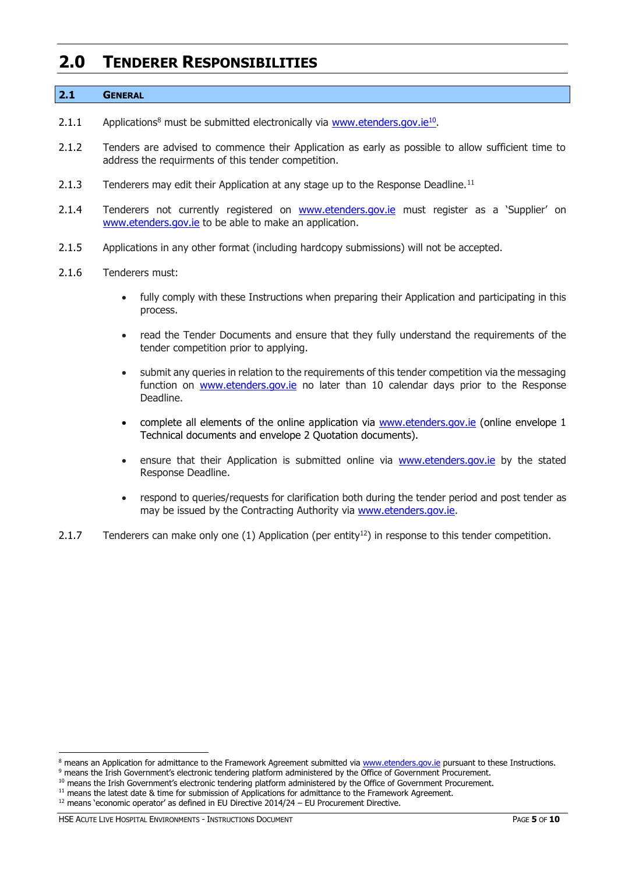# <span id="page-4-0"></span>**2.0 TENDERER RESPONSIBILITIES**

## <span id="page-4-1"></span>**2.1 GENERAL**

- 2.1.1 Applications<sup>8</sup> must be submitted electronically via [www.etenders.gov.ie](http://www.etenders.gov.ie/)<sup>10</sup>.
- 2.1.2 Tenders are advised to commence their Application as early as possible to allow sufficient time to address the requirments of this tender competition.
- 2.1.3 Tenderers may edit their Application at any stage up to the Response Deadline.<sup>11</sup>
- 2.1.4 Tenderers not currently registered on [www.etenders.gov.ie](http://www.etenders.gov.ie/) must register as a 'Supplier' on [www.etenders.gov.ie](http://www.etenders.gov.ie/) to be able to make an application.
- 2.1.5 Applications in any other format (including hardcopy submissions) will not be accepted.
- 2.1.6 Tenderers must:
	- fully comply with these Instructions when preparing their Application and participating in this process.
	- read the Tender Documents and ensure that they fully understand the requirements of the tender competition prior to applying.
	- submit any queries in relation to the requirements of this tender competition via the messaging function on [www.etenders.gov.ie](http://www.etenders.gov.ie/) no later than 10 calendar days prior to the Response Deadline.
	- complete all elements of the online application via [www.etenders.gov.ie](http://www.etenders.gov.ie/) (online envelope 1 Technical documents and envelope 2 Quotation documents).
	- ensure that their Application is submitted online via [www.etenders.gov.ie](http://www.etenders.gov.ie/) by the stated Response Deadline.
	- respond to queries/requests for clarification both during the tender period and post tender as may be issued by the Contracting Authority via [www.etenders.gov.ie.](http://www.etenders.gov.ie/)
- 2.1.7 Tenderers can make only one (1) Application (per entity<sup>12</sup>) in response to this tender competition.

HSE ACUTE LIVE HOSPITAL ENVIRONMENTS - INSTRUCTIONS DOCUMENT **FOUR SEXUAL ENGLISHER ACT ACCUPACY CONTAINS A SEXUAL PAGE 5** OF 10

-

<sup>&</sup>lt;sup>8</sup> means an Application for admittance to the Framework Agreement submitted via [www.etenders.gov.ie](http://www.etenders.gov.ie/) pursuant to these Instructions. <sup>9</sup> means the Irish Government's electronic tendering platform administered by the Office of Government Procurement.

<sup>&</sup>lt;sup>10</sup> means the Irish Government's electronic tendering platform administered by the Office of Government Procurement.

<sup>&</sup>lt;sup>11</sup> means the latest date & time for submission of Applications for admittance to the Framework Agreement.

 $12$  means 'economic operator' as defined in EU Directive 2014/24 – EU Procurement Directive.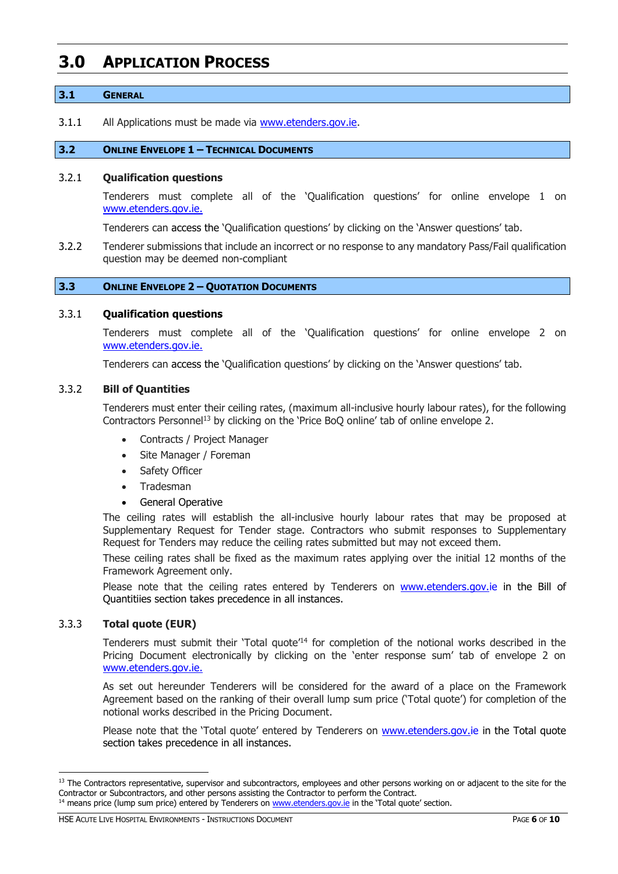# <span id="page-5-0"></span>**3.0 APPLICATION PROCESS**

# <span id="page-5-1"></span>**3.1 GENERAL**

3.1.1 All Applications must be made via [www.etenders.gov.ie.](http://www.etenders.gov.ie/)

#### <span id="page-5-2"></span>**3.2 ONLINE ENVELOPE 1 – TECHNICAL DOCUMENTS**

#### 3.2.1 **Qualification questions**

Tenderers must complete all of the 'Qualification questions' for online envelope 1 on [www.etenders.gov.ie.](http://www.etenders.gov.ie/)

Tenderers can access the 'Qualification questions' by clicking on the 'Answer questions' tab.

3.2.2 Tenderer submissions that include an incorrect or no response to any mandatory Pass/Fail qualification question may be deemed non-compliant

## <span id="page-5-3"></span>**3.3 ONLINE ENVELOPE 2 – QUOTATION DOCUMENTS**

### 3.3.1 **Qualification questions**

Tenderers must complete all of the 'Qualification questions' for online envelope 2 on [www.etenders.gov.ie.](http://www.etenders.gov.ie/)

Tenderers can access the 'Qualification questions' by clicking on the 'Answer questions' tab.

## 3.3.2 **Bill of Quantities**

Tenderers must enter their ceiling rates, (maximum all-inclusive hourly labour rates), for the following Contractors Personnel<sup>13</sup> by clicking on the 'Price BoQ online' tab of online envelope 2.

- Contracts / Project Manager
- Site Manager / Foreman
- Safety Officer
- Tradesman
- General Operative

The ceiling rates will establish the all-inclusive hourly labour rates that may be proposed at Supplementary Request for Tender stage. Contractors who submit responses to Supplementary Request for Tenders may reduce the ceiling rates submitted but may not exceed them.

These ceiling rates shall be fixed as the maximum rates applying over the initial 12 months of the Framework Agreement only.

Please note that the ceiling rates entered by Tenderers on [www.etenders.gov.ie](http://www.etenders.gov.ie/) in the Bill of Quantitiies section takes precedence in all instances.

## 3.3.3 **Total quote (EUR)**

-

Tenderers must submit their 'Total quote<sup>'14</sup> for completion of the notional works described in the Pricing Document electronically by clicking on the 'enter response sum' tab of envelope 2 on [www.etenders.gov.ie.](http://www.etenders.gov.ie/)

As set out hereunder Tenderers will be considered for the award of a place on the Framework Agreement based on the ranking of their overall lump sum price ('Total quote') for completion of the notional works described in the Pricing Document.

Please note that the 'Total quote' entered by Tenderers on [www.etenders.gov.ie](http://www.etenders.gov.ie/) in the Total quote section takes precedence in all instances.

<sup>&</sup>lt;sup>13</sup> The Contractors representative, supervisor and subcontractors, employees and other persons working on or adjacent to the site for the Contractor or Subcontractors, and other persons assisting the Contractor to perform the Contract.

<sup>&</sup>lt;sup>14</sup> means price (lump sum price) entered by Tenderers o[n www.etenders.gov.ie](http://www.etenders.gov.ie/) in the 'Total quote' section.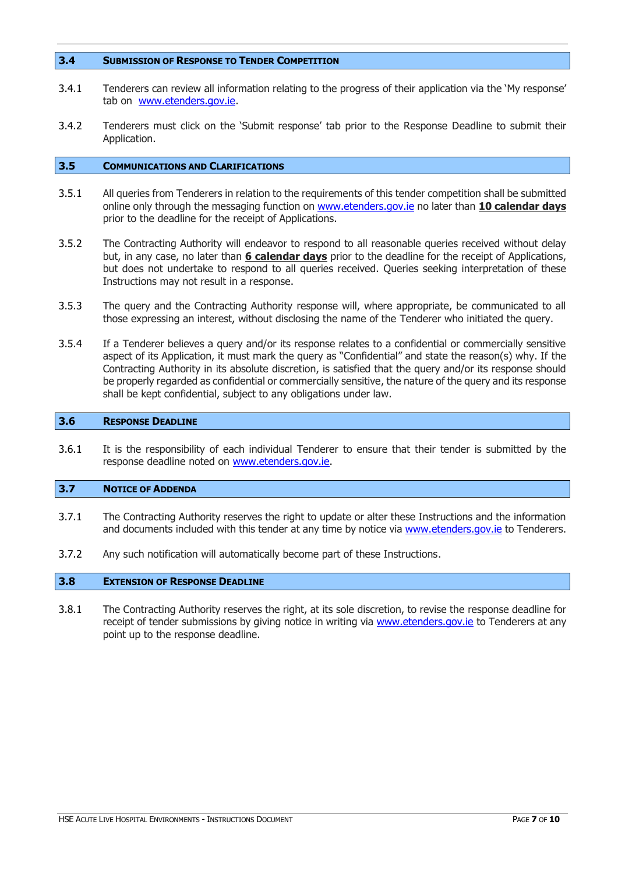#### <span id="page-6-0"></span>**3.4 SUBMISSION OF RESPONSE TO TENDER COMPETITION**

- 3.4.1 Tenderers can review all information relating to the progress of their application via the 'My response' tab on [www.etenders.gov.ie.](http://www.etenders.gov.ie/)
- 3.4.2 Tenderers must click on the 'Submit response' tab prior to the Response Deadline to submit their Application.

## <span id="page-6-1"></span>**3.5 COMMUNICATIONS AND CLARIFICATIONS**

- 3.5.1 All queries from Tenderers in relation to the requirements of this tender competition shall be submitted online only through the messaging function on [www.etenders.gov.ie](http://www.etenders.gov.ie/) no later than **10 calendar days** prior to the deadline for the receipt of Applications.
- 3.5.2 The Contracting Authority will endeavor to respond to all reasonable queries received without delay but, in any case, no later than **6 calendar days** prior to the deadline for the receipt of Applications, but does not undertake to respond to all queries received. Queries seeking interpretation of these Instructions may not result in a response.
- 3.5.3 The query and the Contracting Authority response will, where appropriate, be communicated to all those expressing an interest, without disclosing the name of the Tenderer who initiated the query.
- 3.5.4 If a Tenderer believes a query and/or its response relates to a confidential or commercially sensitive aspect of its Application, it must mark the query as "Confidential" and state the reason(s) why. If the Contracting Authority in its absolute discretion, is satisfied that the query and/or its response should be properly regarded as confidential or commercially sensitive, the nature of the query and its response shall be kept confidential, subject to any obligations under law.

#### <span id="page-6-2"></span>**3.6 RESPONSE DEADLINE**

3.6.1 It is the responsibility of each individual Tenderer to ensure that their tender is submitted by the response deadline noted on [www.etenders.gov.ie.](http://www.etenders.gov.ie/)

# <span id="page-6-3"></span>**3.7 NOTICE OF ADDENDA**

- 3.7.1 The Contracting Authority reserves the right to update or alter these Instructions and the information and documents included with this tender at any time by notice via [www.etenders.gov.ie](http://www.etenders.gov.ie/) to Tenderers.
- 3.7.2 Any such notification will automatically become part of these Instructions.

### <span id="page-6-4"></span>**3.8 EXTENSION OF RESPONSE DEADLINE**

<span id="page-6-5"></span>3.8.1 The Contracting Authority reserves the right, at its sole discretion, to revise the response deadline for receipt of tender submissions by giving notice in writing via [www.etenders.gov.ie](http://www.etenders.gov.ie/) to Tenderers at any point up to the response deadline.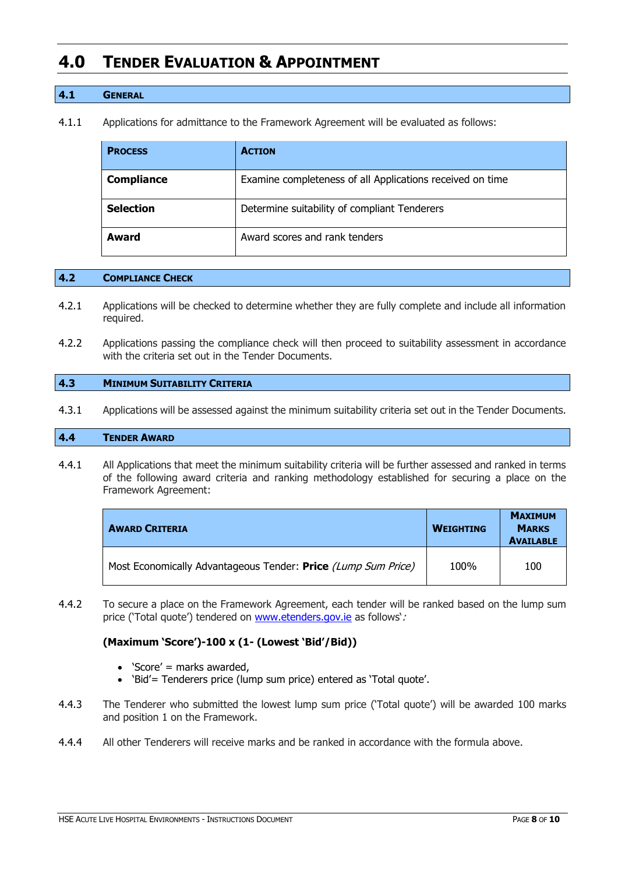# **4.0 TENDER EVALUATION & APPOINTMENT**

#### <span id="page-7-0"></span>**4.1 GENERAL**

4.1.1 Applications for admittance to the Framework Agreement will be evaluated as follows:

| <b>PROCESS</b>    | <b>ACTION</b>                                             |
|-------------------|-----------------------------------------------------------|
| <b>Compliance</b> | Examine completeness of all Applications received on time |
| <b>Selection</b>  | Determine suitability of compliant Tenderers              |
| Award             | Award scores and rank tenders                             |

#### <span id="page-7-1"></span>**4.2 COMPLIANCE CHECK**

- 4.2.1 Applications will be checked to determine whether they are fully complete and include all information required.
- 4.2.2 Applications passing the compliance check will then proceed to suitability assessment in accordance with the criteria set out in the Tender Documents.

# <span id="page-7-2"></span>**4.3 MINIMUM SUITABILITY CRITERIA**

4.3.1 Applications will be assessed against the minimum suitability criteria set out in the Tender Documents.

# <span id="page-7-3"></span>**4.4 TENDER AWARD**

4.4.1 All Applications that meet the minimum suitability criteria will be further assessed and ranked in terms of the following award criteria and ranking methodology established for securing a place on the Framework Agreement:

| <b>AWARD CRITERIA</b>                                         | <b>WEIGHTING</b> | <b>MAXIMUM</b><br><b>MARKS</b><br><b>AVAILABLE</b> |
|---------------------------------------------------------------|------------------|----------------------------------------------------|
| Most Economically Advantageous Tender: Price (Lump Sum Price) | 100%             | 100                                                |

4.4.2 To secure a place on the Framework Agreement, each tender will be ranked based on the lump sum price ('Total quote') tendered on [www.etenders.gov.ie](http://www.etenders.gov.ie/) as follows':

# **(Maximum 'Score')-100 x (1- (Lowest 'Bid'/Bid))**

- 'Score' = marks awarded,
- 'Bid'= Tenderers price (lump sum price) entered as 'Total quote'.
- 4.4.3 The Tenderer who submitted the lowest lump sum price ('Total quote') will be awarded 100 marks and position 1 on the Framework.
- 4.4.4 All other Tenderers will receive marks and be ranked in accordance with the formula above.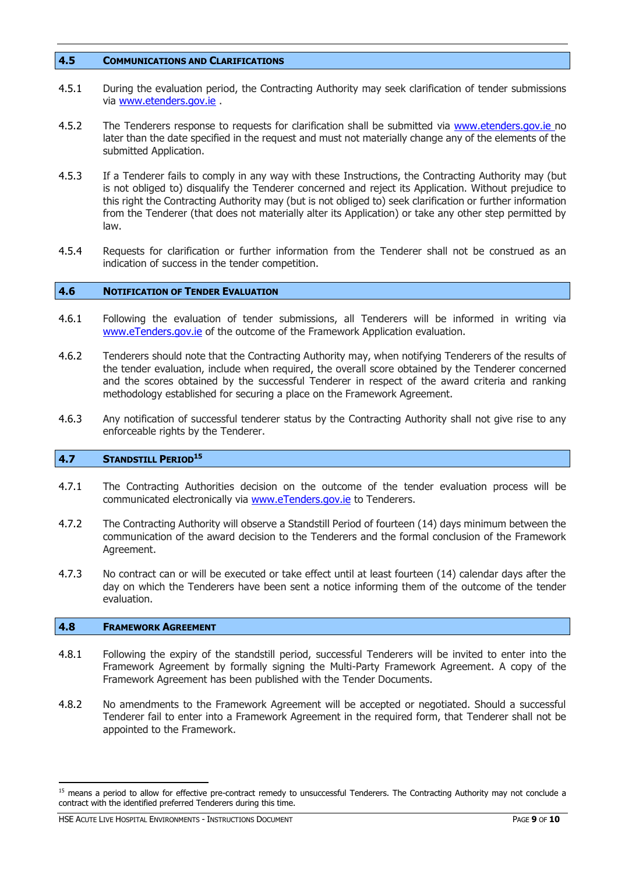#### <span id="page-8-0"></span>**4.5 COMMUNICATIONS AND CLARIFICATIONS**

- 4.5.1 During the evaluation period, the Contracting Authority may seek clarification of tender submissions via [www.etenders.gov.ie](http://www.etenders.gov.ie/) .
- 4.5.2 The Tenderers response to requests for clarification shall be submitted via [www.etenders.gov.ie](http://www.etenders.gov.ie/) no later than the date specified in the request and must not materially change any of the elements of the submitted Application.
- 4.5.3 If a Tenderer fails to comply in any way with these Instructions, the Contracting Authority may (but is not obliged to) disqualify the Tenderer concerned and reject its Application. Without prejudice to this right the Contracting Authority may (but is not obliged to) seek clarification or further information from the Tenderer (that does not materially alter its Application) or take any other step permitted by law.
- 4.5.4 Requests for clarification or further information from the Tenderer shall not be construed as an indication of success in the tender competition.

#### <span id="page-8-1"></span>**4.6 NOTIFICATION OF TENDER EVALUATION**

- 4.6.1 Following the evaluation of tender submissions, all Tenderers will be informed in writing via [www.eTenders.gov.ie](http://www.etenders.gov.ie/) of the outcome of the Framework Application evaluation.
- 4.6.2 Tenderers should note that the Contracting Authority may, when notifying Tenderers of the results of the tender evaluation, include when required, the overall score obtained by the Tenderer concerned and the scores obtained by the successful Tenderer in respect of the award criteria and ranking methodology established for securing a place on the Framework Agreement.
- 4.6.3 Any notification of successful tenderer status by the Contracting Authority shall not give rise to any enforceable rights by the Tenderer.

## <span id="page-8-2"></span>**4.7 STANDSTILL PERIOD<sup>15</sup>**

- 4.7.1 The Contracting Authorities decision on the outcome of the tender evaluation process will be communicated electronically via [www.eTenders.gov.ie](http://www.etenders.gov.ie/) to Tenderers.
- 4.7.2 The Contracting Authority will observe a Standstill Period of fourteen (14) days minimum between the communication of the award decision to the Tenderers and the formal conclusion of the Framework Agreement.
- 4.7.3 No contract can or will be executed or take effect until at least fourteen (14) calendar days after the day on which the Tenderers have been sent a notice informing them of the outcome of the tender evaluation.

#### <span id="page-8-3"></span>**4.8 FRAMEWORK AGREEMENT**

-

- 4.8.1 Following the expiry of the standstill period, successful Tenderers will be invited to enter into the Framework Agreement by formally signing the Multi-Party Framework Agreement. A copy of the Framework Agreement has been published with the Tender Documents.
- 4.8.2 No amendments to the Framework Agreement will be accepted or negotiated. Should a successful Tenderer fail to enter into a Framework Agreement in the required form, that Tenderer shall not be appointed to the Framework.

<sup>&</sup>lt;sup>15</sup> means a period to allow for effective pre-contract remedy to unsuccessful Tenderers. The Contracting Authority may not conclude a contract with the identified preferred Tenderers during this time.

HSE ACUTE LIVE HOSPITAL ENVIRONMENTS - INSTRUCTIONS DOCUMENT **And the system of the system of the system of 10**  $\blacksquare$